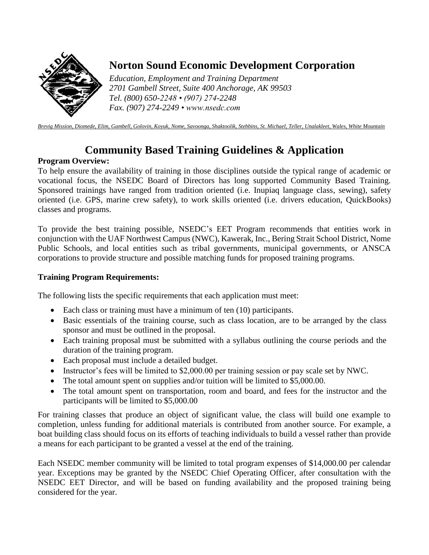

# **Norton Sound Economic Development Corporation**

*Education, Employment and Training Department 2701 Gambell Street, Suite 400 Anchorage, AK 99503 Tel. (800) 650-2248 • (907) 274-2248 Fax. (907) 274-2249 • www.nsedc.com*

*Brevig Mission, Diomede, Elim, Gambell, Golovin, Koyuk, Nome, Savoonga, Shaktoolik, Stebbins, St. Michael, Teller, Unalakleet, Wales, White Mountain*

## **Community Based Training Guidelines & Application**

### **Program Overview:**

To help ensure the availability of training in those disciplines outside the typical range of academic or vocational focus, the NSEDC Board of Directors has long supported Community Based Training. Sponsored trainings have ranged from tradition oriented (i.e. Inupiaq language class, sewing), safety oriented (i.e. GPS, marine crew safety), to work skills oriented (i.e. drivers education, QuickBooks) classes and programs.

To provide the best training possible, NSEDC's EET Program recommends that entities work in conjunction with the UAF Northwest Campus (NWC), Kawerak, Inc., Bering Strait School District, Nome Public Schools, and local entities such as tribal governments, municipal governments, or ANSCA corporations to provide structure and possible matching funds for proposed training programs.

### **Training Program Requirements:**

The following lists the specific requirements that each application must meet:

- Each class or training must have a minimum of ten (10) participants.
- Basic essentials of the training course, such as class location, are to be arranged by the class sponsor and must be outlined in the proposal.
- Each training proposal must be submitted with a syllabus outlining the course periods and the duration of the training program.
- Each proposal must include a detailed budget.
- Instructor's fees will be limited to \$2,000.00 per training session or pay scale set by NWC.
- The total amount spent on supplies and/or tuition will be limited to \$5,000.00.
- The total amount spent on transportation, room and board, and fees for the instructor and the participants will be limited to \$5,000.00

For training classes that produce an object of significant value, the class will build one example to completion, unless funding for additional materials is contributed from another source. For example, a boat building class should focus on its efforts of teaching individuals to build a vessel rather than provide a means for each participant to be granted a vessel at the end of the training.

Each NSEDC member community will be limited to total program expenses of \$14,000.00 per calendar year. Exceptions may be granted by the NSEDC Chief Operating Officer, after consultation with the NSEDC EET Director, and will be based on funding availability and the proposed training being considered for the year.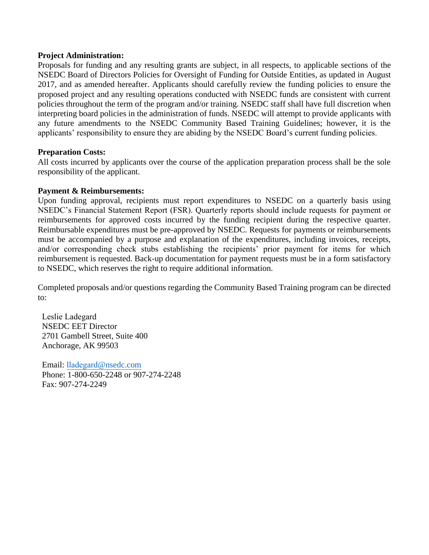#### **Project Administration:**

Proposals for funding and any resulting grants are subject, in all respects, to applicable sections of the NSEDC Board of Directors Policies for Oversight of Funding for Outside Entities, as updated in August 2017, and as amended hereafter. Applicants should carefully review the funding policies to ensure the proposed project and any resulting operations conducted with NSEDC funds are consistent with current policies throughout the term of the program and/or training. NSEDC staff shall have full discretion when interpreting board policies in the administration of funds. NSEDC will attempt to provide applicants with any future amendments to the NSEDC Community Based Training Guidelines; however, it is the applicants' responsibility to ensure they are abiding by the NSEDC Board's current funding policies.

#### **Preparation Costs:**

All costs incurred by applicants over the course of the application preparation process shall be the sole responsibility of the applicant.

#### **Payment & Reimbursements:**

Upon funding approval, recipients must report expenditures to NSEDC on a quarterly basis using NSEDC's Financial Statement Report (FSR). Quarterly reports should include requests for payment or reimbursements for approved costs incurred by the funding recipient during the respective quarter. Reimbursable expenditures must be pre-approved by NSEDC. Requests for payments or reimbursements must be accompanied by a purpose and explanation of the expenditures, including invoices, receipts, and/or corresponding check stubs establishing the recipients' prior payment for items for which reimbursement is requested. Back-up documentation for payment requests must be in a form satisfactory to NSEDC, which reserves the right to require additional information.

Completed proposals and/or questions regarding the Community Based Training program can be directed to:

Leslie Ladegard NSEDC EET Director 2701 Gambell Street, Suite 400 Anchorage, AK 99503

Email: lladegard[@nsedc.com](mailto:lladegard@nsedc.com) Phone: 1-800-650-2248 or 907-274-2248 Fax: 907-274-2249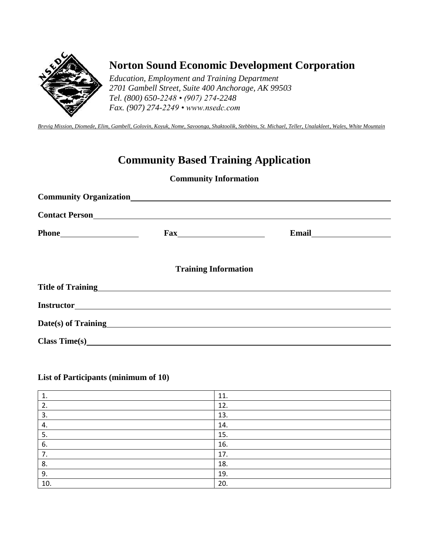

## **Norton Sound Economic Development Corporation**

*Education, Employment and Training Department 2701 Gambell Street, Suite 400 Anchorage, AK 99503 Tel. (800) 650-2248 • (907) 274-2248 Fax. (907) 274-2249 • www.nsedc.com*

*Brevig Mission, Diomede, Elim, Gambell, Golovin, Koyuk, Nome, Savoonga, Shaktoolik, Stebbins, St. Michael, Teller, Unalakleet, Wales, White Mountain*

## **Community Based Training Application**

### **Community Information**

| <b>Contact Person</b>                             |  |
|---------------------------------------------------|--|
|                                                   |  |
| <b>Training Information</b>                       |  |
| Title of Training<br>Title of Training            |  |
|                                                   |  |
| Date(s) of Training<br><u>Date(s)</u> of Training |  |
|                                                   |  |

### **List of Participants (minimum of 10)**

| ᆠ.  | 11. |
|-----|-----|
| 2.  | 12. |
| 3.  | 13. |
| 4.  | 14. |
| 5.  | 15. |
| 6.  | 16. |
| 7.  | 17. |
| 8.  | 18. |
| 9.  | 19. |
| 10. | 20. |